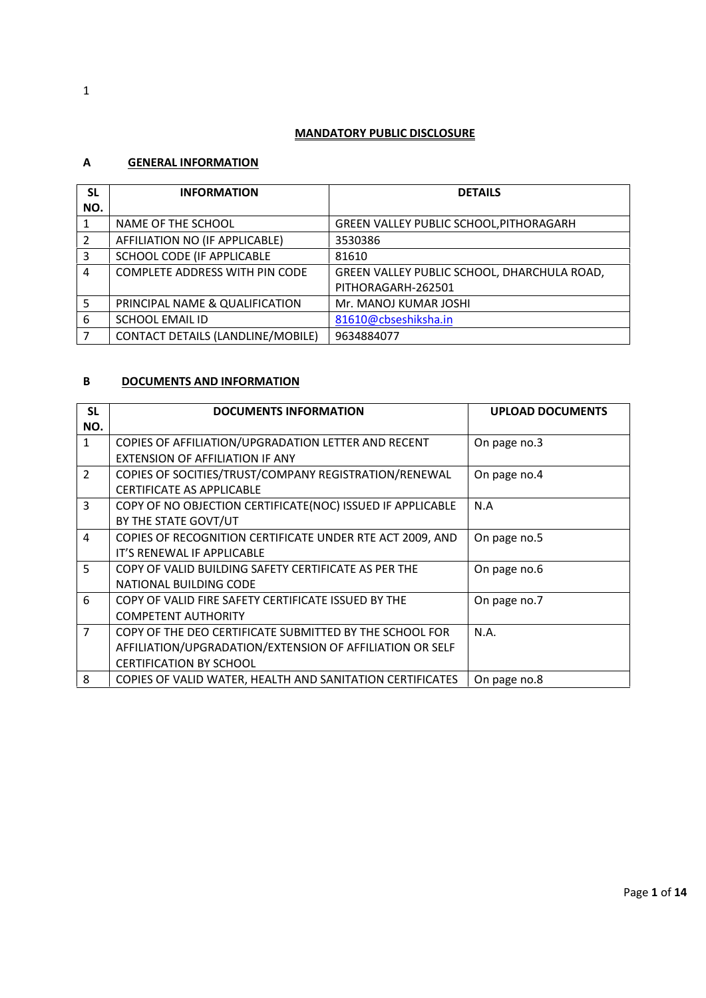#### **MANDATORY PUBLIC DISCLOSURE**

### **A GENERAL INFORMATION**

| <b>SL</b><br>NO. | <b>INFORMATION</b>                | <b>DETAILS</b>                                 |
|------------------|-----------------------------------|------------------------------------------------|
|                  | NAME OF THE SCHOOL                | <b>GREEN VALLEY PUBLIC SCHOOL, PITHORAGARH</b> |
| 2                | AFFILIATION NO (IF APPLICABLE)    | 3530386                                        |
| 3                | SCHOOL CODE (IF APPLICABLE        | 81610                                          |
| 4                | COMPLETE ADDRESS WITH PIN CODE    | GREEN VALLEY PUBLIC SCHOOL, DHARCHULA ROAD,    |
|                  |                                   | PITHORAGARH-262501                             |
| 5                | PRINCIPAL NAME & QUALIFICATION    | Mr. MANOJ KUMAR JOSHI                          |
| 6                | <b>SCHOOL EMAIL ID</b>            | 81610@cbseshiksha.in                           |
|                  | CONTACT DETAILS (LANDLINE/MOBILE) | 9634884077                                     |

#### **B DOCUMENTS AND INFORMATION**

| <b>SL</b>      | <b>DOCUMENTS INFORMATION</b>                               | <b>UPLOAD DOCUMENTS</b> |
|----------------|------------------------------------------------------------|-------------------------|
| NO.            |                                                            |                         |
| $\mathbf{1}$   | COPIES OF AFFILIATION/UPGRADATION LETTER AND RECENT        | On page no.3            |
|                | <b>EXTENSION OF AFFILIATION IF ANY</b>                     |                         |
| $\overline{2}$ | COPIES OF SOCITIES/TRUST/COMPANY REGISTRATION/RENEWAL      | On page no.4            |
|                | <b>CERTIFICATE AS APPLICABLE</b>                           |                         |
| 3              | COPY OF NO OBJECTION CERTIFICATE(NOC) ISSUED IF APPLICABLE | N.A                     |
|                | BY THE STATE GOVT/UT                                       |                         |
| 4              | COPIES OF RECOGNITION CERTIFICATE UNDER RTE ACT 2009, AND  | On page no.5            |
|                | IT'S RENEWAL IF APPLICABLE                                 |                         |
| 5.             | COPY OF VALID BUILDING SAFETY CERTIFICATE AS PER THE       | On page no.6            |
|                | NATIONAL BUILDING CODE                                     |                         |
| 6              | COPY OF VALID FIRE SAFETY CERTIFICATE ISSUED BY THE        | On page no.7            |
|                | <b>COMPETENT AUTHORITY</b>                                 |                         |
| $\overline{7}$ | COPY OF THE DEO CERTIFICATE SUBMITTED BY THE SCHOOL FOR    | N.A.                    |
|                | AFFILIATION/UPGRADATION/EXTENSION OF AFFILIATION OR SELF   |                         |
|                | <b>CERTIFICATION BY SCHOOL</b>                             |                         |
| 8              | COPIES OF VALID WATER, HEALTH AND SANITATION CERTIFICATES  | On page no.8            |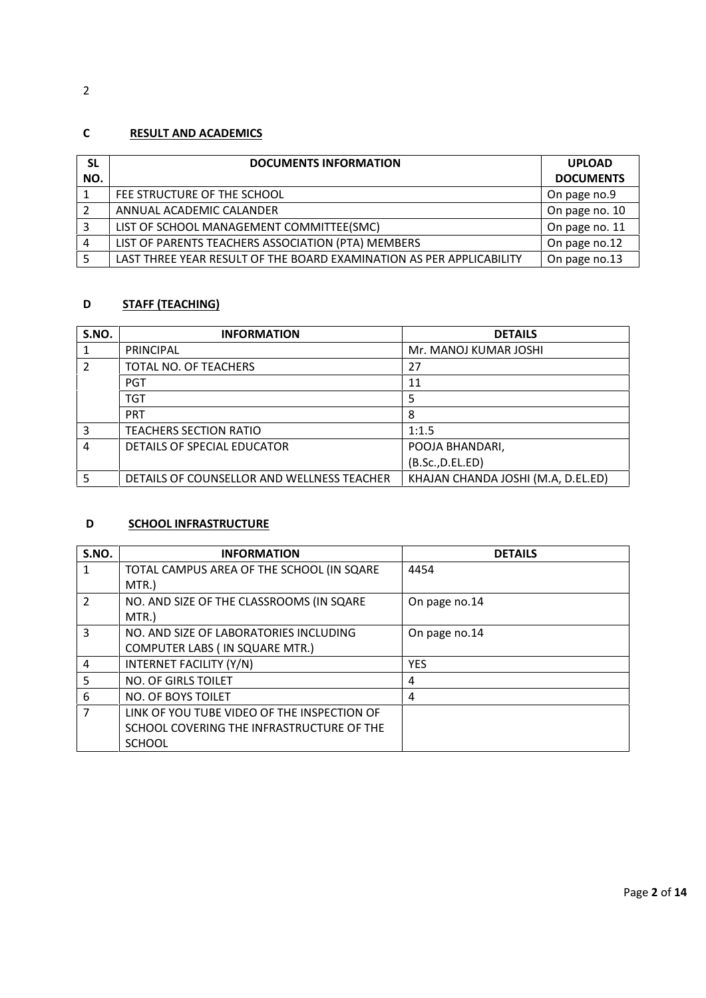# **C RESULT AND ACADEMICS**

| SL  | <b>DOCUMENTS INFORMATION</b>                                         | <b>UPLOAD</b>    |
|-----|----------------------------------------------------------------------|------------------|
| NO. |                                                                      | <b>DOCUMENTS</b> |
|     | FEE STRUCTURE OF THE SCHOOL                                          | On page no.9     |
| 2   | ANNUAL ACADEMIC CALANDER                                             | On page no. 10   |
| 3   | LIST OF SCHOOL MANAGEMENT COMMITTEE(SMC)                             | On page no. 11   |
| 4   | LIST OF PARENTS TEACHERS ASSOCIATION (PTA) MEMBERS                   | On page no.12    |
|     | LAST THREE YEAR RESULT OF THE BOARD EXAMINATION AS PER APPLICABILITY | On page no.13    |

## **D STAFF (TEACHING)**

| S.NO. | <b>INFORMATION</b>                         | <b>DETAILS</b>                     |
|-------|--------------------------------------------|------------------------------------|
|       | <b>PRINCIPAL</b>                           | Mr. MANOJ KUMAR JOSHI              |
| 2     | TOTAL NO. OF TEACHERS                      | 27                                 |
|       | <b>PGT</b>                                 | 11                                 |
|       | TGT                                        | 5                                  |
|       | <b>PRT</b>                                 | 8                                  |
| 3     | <b>TEACHERS SECTION RATIO</b>              | 1:1.5                              |
| 4     | DETAILS OF SPECIAL EDUCATOR                | POOJA BHANDARI,                    |
|       |                                            | (B.Sc., D.EL.ED)                   |
| 5     | DETAILS OF COUNSELLOR AND WELLNESS TEACHER | KHAJAN CHANDA JOSHI (M.A, D.EL.ED) |

#### **D SCHOOL INFRASTRUCTURE**

| S.NO.          | <b>INFORMATION</b>                          | <b>DETAILS</b> |
|----------------|---------------------------------------------|----------------|
| 1              | TOTAL CAMPUS AREA OF THE SCHOOL (IN SQARE   | 4454           |
|                | MTR.)                                       |                |
| $\mathcal{P}$  | NO. AND SIZE OF THE CLASSROOMS (IN SQARE    | On page no.14  |
|                | MTR.)                                       |                |
| 3              | NO. AND SIZE OF LABORATORIES INCLUDING      | On page no.14  |
|                | COMPUTER LABS ( IN SQUARE MTR.)             |                |
| 4              | INTERNET FACILITY (Y/N)                     | <b>YES</b>     |
| 5              | <b>NO. OF GIRLS TOILET</b>                  | 4              |
| 6              | NO. OF BOYS TOILET                          | 4              |
| $\overline{7}$ | LINK OF YOU TUBE VIDEO OF THE INSPECTION OF |                |
|                | SCHOOL COVERING THE INFRASTRUCTURE OF THE   |                |
|                | <b>SCHOOL</b>                               |                |

2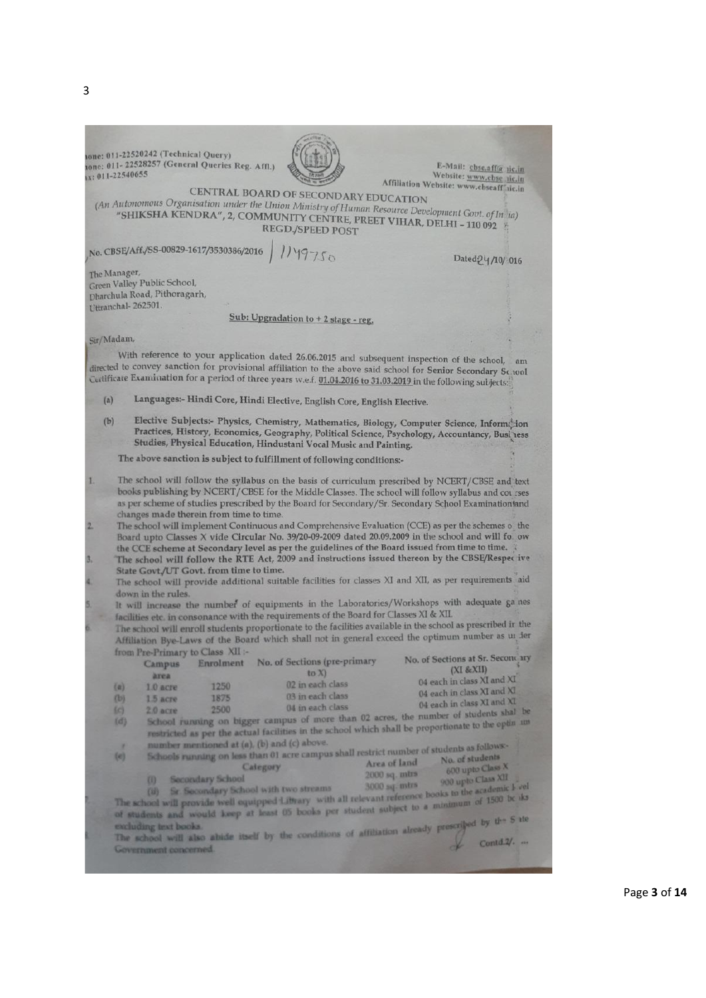|                | one: 011-22520242 (Technical Query)             |                         |                                                                                                                |               |                                                                                                                                                                                                         |
|----------------|-------------------------------------------------|-------------------------|----------------------------------------------------------------------------------------------------------------|---------------|---------------------------------------------------------------------------------------------------------------------------------------------------------------------------------------------------------|
|                | tone: 011-22528257 (General Queries Reg. Affl.) |                         |                                                                                                                |               | E-Mail: cbsc,aff@ tic.in                                                                                                                                                                                |
|                | x: 011-22540655                                 |                         |                                                                                                                |               | Website: www.cbse aic.in                                                                                                                                                                                |
|                |                                                 |                         | CENTRAL BOARD OF SECONDARY EDUCATION                                                                           |               | Affiliation Website: www.cbseaff'iic.in                                                                                                                                                                 |
|                |                                                 |                         | (An Autonomous Organisation under the Union Ministry of Human Resource Development Govt. of In ia)             |               |                                                                                                                                                                                                         |
|                |                                                 |                         | "SHIKSHA KENDRA", 2, COMMUNITY CENTRE, PREET VIHAR, DELHI - 110 092                                            |               |                                                                                                                                                                                                         |
|                |                                                 |                         | <b>REGD./SPEED POST</b>                                                                                        |               |                                                                                                                                                                                                         |
|                |                                                 |                         |                                                                                                                |               |                                                                                                                                                                                                         |
|                | No. CBSE/Aff./SS-00829-1617/3530386/2016        |                         |                                                                                                                |               |                                                                                                                                                                                                         |
|                |                                                 |                         | 1149750                                                                                                        |               | Dated 24/10/ 016                                                                                                                                                                                        |
|                | The Manager,                                    |                         |                                                                                                                |               |                                                                                                                                                                                                         |
|                | Green Valley Public School,                     |                         |                                                                                                                |               |                                                                                                                                                                                                         |
|                | Dharchula Road, Pithoragarh,                    |                         |                                                                                                                |               |                                                                                                                                                                                                         |
|                | Uttranchal-262501.                              |                         |                                                                                                                |               |                                                                                                                                                                                                         |
|                |                                                 |                         | Sub: Upgradation to + 2 stage - reg.                                                                           |               |                                                                                                                                                                                                         |
|                |                                                 |                         |                                                                                                                |               |                                                                                                                                                                                                         |
|                | Sir/Madam,                                      |                         |                                                                                                                |               |                                                                                                                                                                                                         |
|                |                                                 |                         | With reference to your application dated 26.06.2015 and subsequent inspection of the school,                   |               |                                                                                                                                                                                                         |
|                |                                                 |                         | Certificate Examination for a period of three years w.e.f. 01.04.2016 to 31.03.2019 in the following subjects: |               | am<br>directed to convey sanction for provisional affiliation to the above said school for Senior Secondary School                                                                                      |
|                |                                                 |                         |                                                                                                                |               |                                                                                                                                                                                                         |
| (a)            |                                                 |                         | Languages:- Hindi Core, Hindi Elective, English Core, English Elective.                                        |               |                                                                                                                                                                                                         |
| (b)            |                                                 |                         |                                                                                                                |               |                                                                                                                                                                                                         |
|                |                                                 |                         |                                                                                                                |               | Elective Subjects:- Physics, Chemistry, Mathematics, Biology, Computer Science, Information                                                                                                             |
|                |                                                 |                         | Studies, Physical Education, Hindustani Vocal Music and Painting.                                              |               | Practices, History, Economics, Geography, Political Science, Psychology, Accountancy, Business                                                                                                          |
|                |                                                 |                         |                                                                                                                |               |                                                                                                                                                                                                         |
|                |                                                 |                         | The above sanction is subject to fulfillment of following conditions:-                                         |               |                                                                                                                                                                                                         |
|                |                                                 |                         |                                                                                                                |               |                                                                                                                                                                                                         |
| 1.             |                                                 |                         |                                                                                                                |               | The school will follow the syllabus on the basis of curriculum prescribed by NCERT/CBSE and text                                                                                                        |
|                |                                                 |                         |                                                                                                                |               | books publishing by NCERT/CBSE for the Middle Classes. The school will follow syllabus and courses                                                                                                      |
|                |                                                 |                         |                                                                                                                |               | as per scheme of studies prescribed by the Board for Secondary/Sr. Secondary School Examination and                                                                                                     |
| $\overline{2}$ | changes made therein from time to time.         |                         |                                                                                                                |               |                                                                                                                                                                                                         |
|                |                                                 |                         |                                                                                                                |               | The school will implement Continuous and Comprehensive Evaluation (CCE) as per the schemes o the<br>Board upto Classes X vide Circular No. 39/20-09-2009 dated 20.09.2009 in the school and will fo. ow |
|                |                                                 |                         | the CCE scheme at Secondary level as per the guidelines of the Board issued from time to time.                 |               |                                                                                                                                                                                                         |
| 3.             |                                                 |                         |                                                                                                                |               | The school will follow the RTE Act, 2009 and instructions issued thereon by the CBSE/Respec ive                                                                                                         |
|                | State Govt/UT Govt. from time to time.          |                         |                                                                                                                |               |                                                                                                                                                                                                         |
| 4              |                                                 |                         |                                                                                                                |               | The school will provide additional suitable facilities for classes XI and XII, as per requirements aid                                                                                                  |
|                | down in the rules.                              |                         |                                                                                                                |               |                                                                                                                                                                                                         |
| 5.             |                                                 |                         |                                                                                                                |               | It will increase the number of equipments in the Laboratories/Workshops with adequate ga nes                                                                                                            |
|                |                                                 |                         | facilities etc. in consonance with the requirements of the Board for Classes XI & XII.                         |               |                                                                                                                                                                                                         |
| ö.             |                                                 |                         |                                                                                                                |               | The school will enroll students proportionate to the facilities available in the school as prescribed ir the                                                                                            |
|                |                                                 |                         |                                                                                                                |               | Affiliation Bye-Laws of the Board which shall not in general exceed the optimum number as un ler                                                                                                        |
|                | from Pre-Primary to Class XII :-                |                         |                                                                                                                |               |                                                                                                                                                                                                         |
|                |                                                 | Enrolment               | No. of Sections (pre-primary                                                                                   |               | No. of Sections at Sr. Secondary                                                                                                                                                                        |
|                | <b>Campus</b>                                   |                         | to X                                                                                                           |               | (XI & E XII)                                                                                                                                                                                            |
|                | area                                            | 1250                    | 02 in each class                                                                                               |               | 04 each in class XI and XI                                                                                                                                                                              |
|                | $\{x\}$<br>$1.0$ acre<br>(b)<br>$1.5$ acre      | 1875                    | 03 in each class                                                                                               |               | 04 each in class XI and XI                                                                                                                                                                              |
|                |                                                 | 2500                    | 04 in each class                                                                                               |               | 04 each in class XI and XI                                                                                                                                                                              |
|                | ${c}$<br>$2.0$ acre<br>(d)                      |                         |                                                                                                                |               | School running on bigger campus of more than 02 acres, the number of students shal be                                                                                                                   |
|                |                                                 |                         |                                                                                                                |               | restricted as per the actual facilities in the school which shall be proportionate to the optin im-                                                                                                     |
|                |                                                 |                         | number mentioned at (a), (b) and (c) above.                                                                    |               |                                                                                                                                                                                                         |
|                | ٠                                               |                         | Schools running on less than 01 acre campus shall restrict number of students as follows-                      |               |                                                                                                                                                                                                         |
|                | (e)                                             |                         | <b>Category</b>                                                                                                | Area of land  |                                                                                                                                                                                                         |
|                |                                                 | <b>Secondary School</b> |                                                                                                                | 2000 sq. mtrs | 600 upto Class X                                                                                                                                                                                        |
|                | $^{(1)}$                                        |                         |                                                                                                                | 3000 sq. mtrs | 900 upto Class XII                                                                                                                                                                                      |
|                |                                                 |                         |                                                                                                                |               |                                                                                                                                                                                                         |
|                |                                                 |                         |                                                                                                                |               | The school will provide well equipped Library with all relevant reference books to the academic k vel                                                                                                   |
|                |                                                 |                         |                                                                                                                |               | of students and would keep at least 05 books per student subject to a minimum of 1500 be its                                                                                                            |
|                |                                                 |                         |                                                                                                                |               |                                                                                                                                                                                                         |
|                |                                                 |                         |                                                                                                                |               | The school will also abide itself by the conditions of affiliation already prescribed by the S ite                                                                                                      |
|                | Government concerned.                           |                         |                                                                                                                |               |                                                                                                                                                                                                         |
|                |                                                 |                         |                                                                                                                |               |                                                                                                                                                                                                         |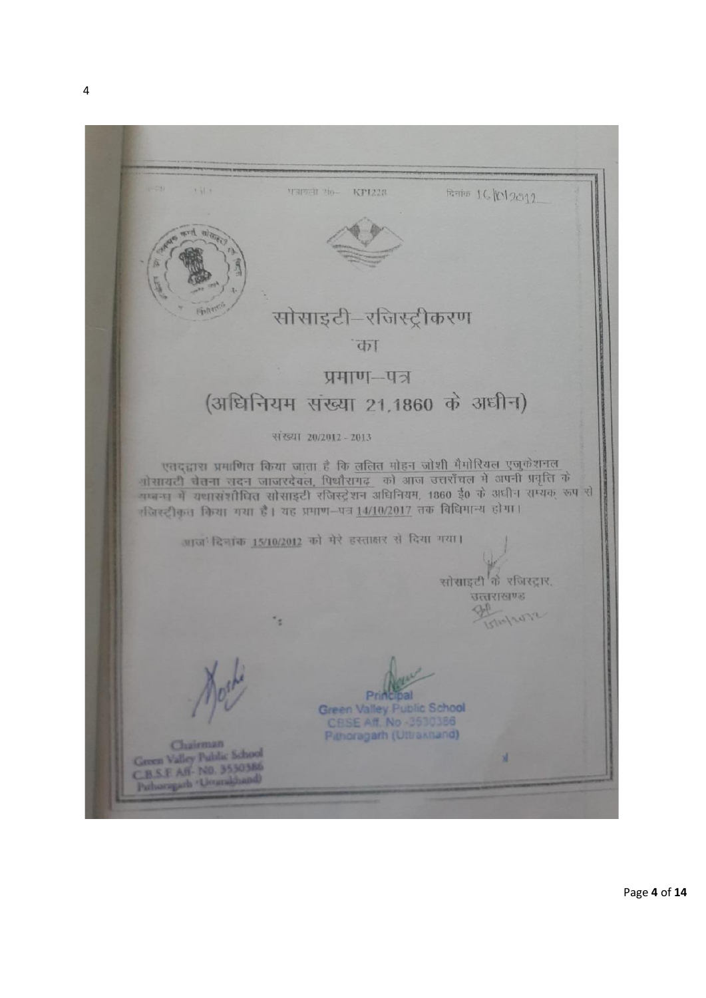$\mathbf{1}$ **THEFT NO- KPI228** Raile 16/012012 सोसाइटी-रजिस्ट्रीकरण "का प्रमाण-पत्र (अधिनियम संख्या 21,1860 के अधीन) संख्या 20/2012 - 2013 एतद्धारा प्रमाणित किया जाता है कि ललित मोहन जोशी मैमोरियल एजुकेशनल ्योसायटी चेतना सदन जाजरदेवल, पिथौरागढ़ को आज उत्तराँचल में अपनी प्रवृत्ति के<br>बालना में यथासंशोधित सोसाइटी रजिस्ट्रेशन अधिनियम, 1860 ई0 के अधीन सम्यक् रूप से रजिस्ट्रीकृत किया गया है। यह प्रमाण-पत्र 14/10/2017 तक विधिमान्य होगा। आज' दिनांक 15/10/2012 को मेरे हस्ताक्षर से दिया गया। सोसाइटी के रजिस्ट्रार. उत्तराखण्ड ٠, Pri а Green Valley Public School CBSE Aff. No -3530386 Panoragarh (Ultraxitand) Chairman Green Valley Public School Green Valley Public Science<br>C.B.S.E. Aff - NO. 3530386<br>Publicity of - Unamidianal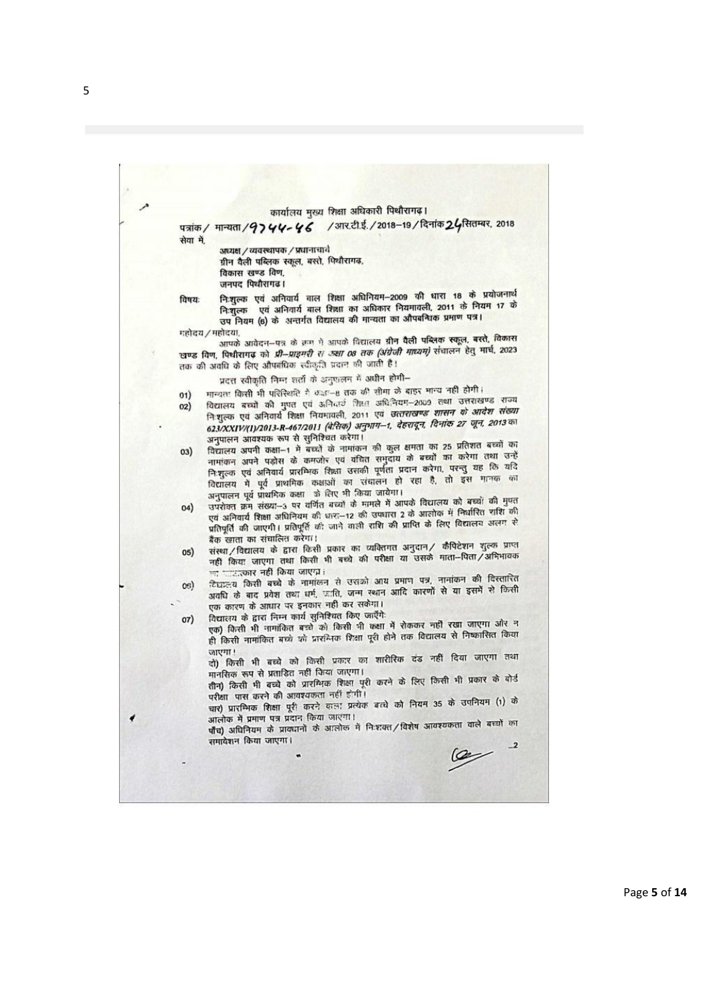कार्यालय मुख्य शिक्षा अधिकारी पिथौरागढ़।

पत्रांक / मान्यता / 97 44-46 /आर.टी.ई. / 2018-19 / दिनांक 24 सितम्बर, 2018 सेवा में

अध्यक्ष / व्यवस्थापक / प्रधानाचार्य

ग्रीन वैली पब्लिक स्कूल, बस्ते, पिथौरागढ़,

विकास खण्ड विण, जनपद पिथौरागढ।

निःशुल्क एवं अनिवार्य बाल शिक्षा अधिनियम-2009 की धारा 18 के प्रयोजनार्थ विषयः निःशुल्कं एवं आनेपाय बाल रिस्ता जायान्तर 2000 मयमावली, 2011 के नियम 17 के निःशुल्क एव आनवाय बाल रिक्षा का जायनार राज्यास्थान प्रमाण पत्र।<br>उप नियम (6) के अन्तर्गत विद्यालय की मान्यता का औपबन्धिक प्रमाण पत्र।

महोदय / महोदया,

हादया.<br>आपके आवेदन—पत्र के रूम में आपके विद्यालय **ग्रीन वैली पब्लिक स्कूल, बस्ते, विकास** खण्ड विण, पिथीरागढ़ को प्री-प्राइमरी स ज्या 08 तक (अंग्रेजी माध्यम) संचालन हेतु मार्च, 2023 लक की अवधि के लिए औपबंधिक स्वीकृति प्रदान की जाती है।

प्रदत्त स्वीकृति निम्न शर्तों के अनुपालन में अधीन होगी-

मान्यता किसी भी परिस्थिति में कहा-8 तक की सीमा के बाहर मान्य नहीं होगी।  $01)$ 

- विद्यालय बच्चों की मुप्त एवं अनिवार्य शिक्षा अधिनियम-2009 तथा उत्तराखण्ड राज्य  $02)$ विद्यालय बच्चा का मुक्त एवं आनंदार सिमा जावानिक शासन के आदेश संख्या<br>निःशुल्क एवं अनिवार्य शिक्षा नियमावली, 2011 एवं *उत्तराखण्ड शासन के आदेश संख्या* निशुल्क एव आनवाय सिला नियमावला, 2011 एवं उत्तराष्ट्रम्, दिनांक 27 जून, 2013 का अनुपालन आवश्यक रूप से सुनिश्चित करेगा।
- अनुपालन आवश्यक रूप से सुनिश्चित करेगा।<br>विद्यालय अपनी कक्षा–1 में बच्चों के नामांकन की कुल क्षमता का 25 प्रतिशत बच्चों का  $03)$ विद्यालय अपनी कक्षा-1 में बच्चों के नामांकन का कुल बनता की 25 करेगा तथा उन्हें<br>नामांकन अपने पड़ोस के कमजोर एवं वंचित समुदाय को बच्चों का करेगा तथा उन्हें नामांकन अपने पड़ोस के कमजोर एवं वांचत समुदाय के बद्धा का परनु यह कि यदि<br>नि:शुल्क एवं अनिवार्य प्रारम्भिक शिक्षा उसकी पूर्णता प्रदीन करेगा, परन्तु यह कि यदि निःशुल्कं एवं अनिवाय प्राराम्भकं सिक्षां उत्तका पूर्णता प्रयाग करना, ने डुने -<br>विद्यालय में पूर्व प्राथमिक कक्षाओं का संचालन हो रहा है, तो इस मानक का अनुपालन पूर्व प्राथमिक कक्षा को लिए भी किया जायेगा।
- अनुपालन पूर्व प्राथमिक कक्षा का लिए भा कथा जायगा।<br>उपरोक्त क्रम संख्या-3 पर वर्णित बच्चों के मामले में आपके विद्यालय को बच्चों की मुफ्त  $04)$ उपराक्त क्रम संख्या—उ पर वागत बच्चा के नानते ने आतीक में निर्घारित राशि की<br>एवं अनिवार्य शिक्षा अधिनियम की धारा—12 की उपघारा 2 के आतीक में निर्घारित राशि की एवं अनिवार्य शिक्षा अधिनियम का धारा—12 का उपघारा 2 के आशोक ने निर्मातित काले<br>प्रतिपूर्ति की जाएगी। प्रतिपूर्ति की जाने वाली राशि की प्राप्ति के लिए विद्यालय अलग से बैंक खाता का संचालित करेगा।
- बैंक खाता का संचालित करेगा।<br>संस्था / विद्यालय के द्वारा किसी प्रकार का व्यक्तिगत अनुदान / कैपिटेशन शुल्क प्राप्त  $05)$ संस्था/विद्यालय के द्वारा किसी अकार का सार्तानता जुड़ा?<br>नहीं किया जाएगा तथा किसी भी बच्चे की परीक्षा या उसके माता–पिता/अभिभावक न्तु प्राप्तराज्ञार नहीं किया जाएग्न ।
- $o<sub>6</sub>$ दिघालय किसी बच्चे के नामालन से उसका आये प्रनान नेत्र, गंगांवरी की रिक्सी<br>अवधि के बाद प्रवेश तथा धर्म, जाति, जन्म स्थान आदि कारणों से या इसमें से किसी एक कारण के आधार पर इनकार नहीं कर सकेगा।
- विद्यालय के द्वारा निम्न कार्य सुनिश्चित किए जाएँगे:  $07)$

तिद्यालय के द्वारा निम्न कांग्रे सुनिश्चित किए जाएंगे.<br>एक) किसी भी नामांकित बच्चे को किसी भी कक्षा में रोककर नहीं रखा जाएगा और न एक) किसी भी नामाकित बच्चे की किसी ना कहा ने सकेकर नहीं हैं।<br>ही किसी नामांकित बच्चे को प्रारंभिक शिक्षा पूरी होने तक विद्यालय से निष्कासित किया जाएगा!

जाएगा !<br>दो) किसी भी बच्चे को किसी प्रकार का शारीरिक दंड नहीं दिया जाएगा तथा मानसिक रूप से प्रताडित नहीं किया जाएगा।

परीक्षा पास करने की आवश्यकता नहीं होगी।

परीक्षा पास करने की आवश्यकता नहीं होगा।<br>चार) प्रारम्भिक शिक्षा पूरी करने वाला प्रत्येक बच्चे को नियम 35 के उपनियम (1) के आलोक में प्रमाण पत्र प्रदान किया जाएगा।

आलोक में प्रमाण पत्र प्रदान किया जोएगा।<br>पाँच) अधिनियम के प्रावधानों के आलोक में निःशक्त/विशेष आवश्यकता वाले बच्चों का समावेशन किया जाएगा।

 $\infty$ 

5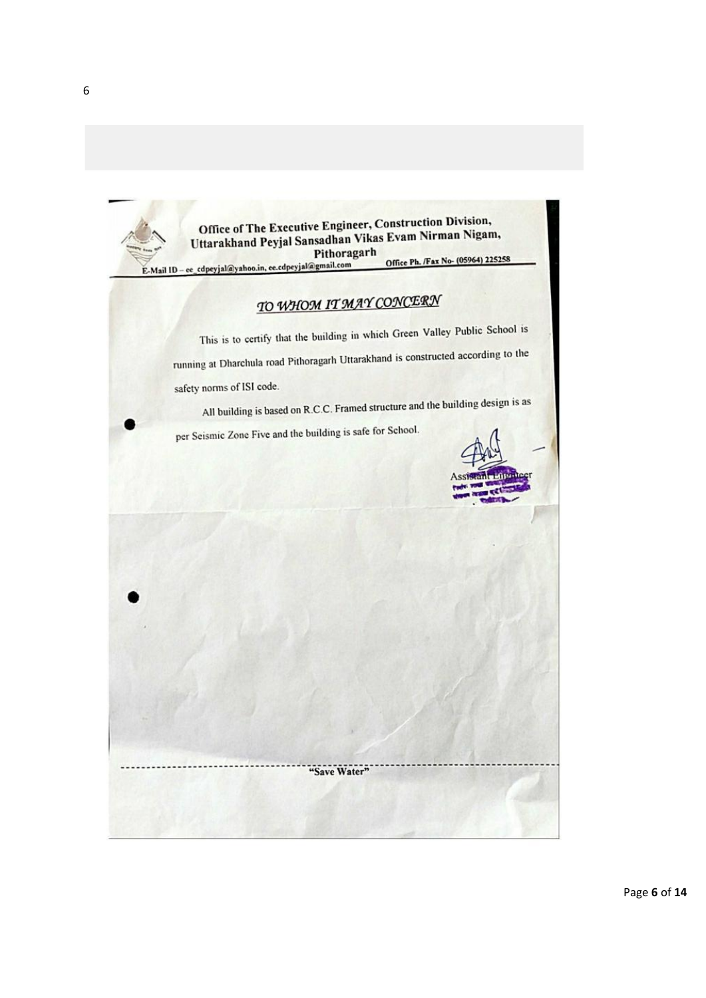

6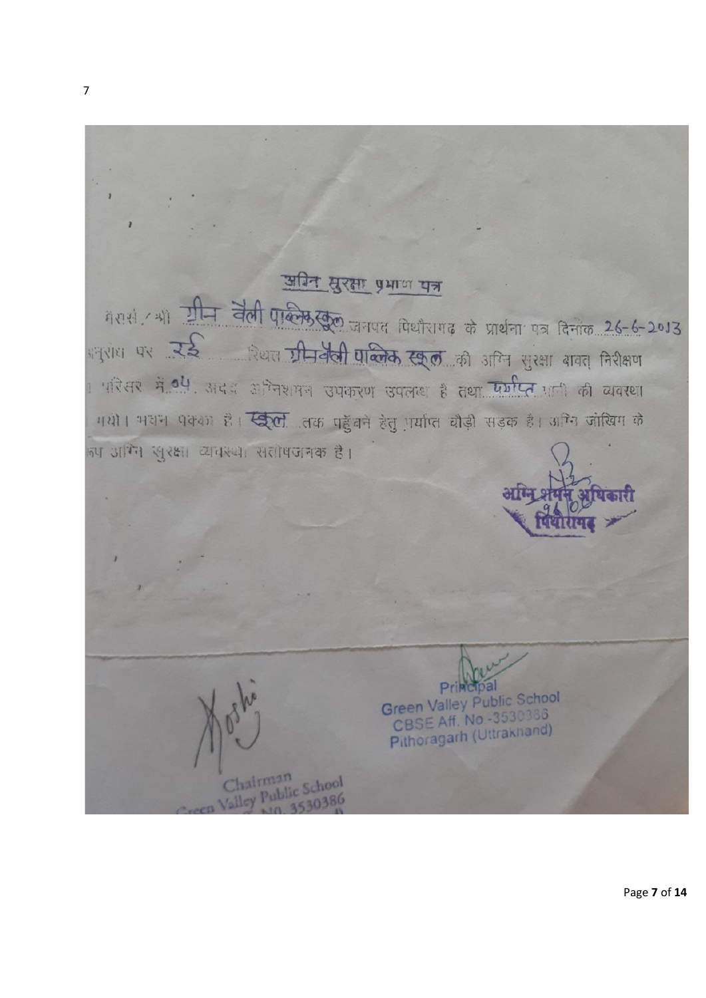

Page **7** of **14**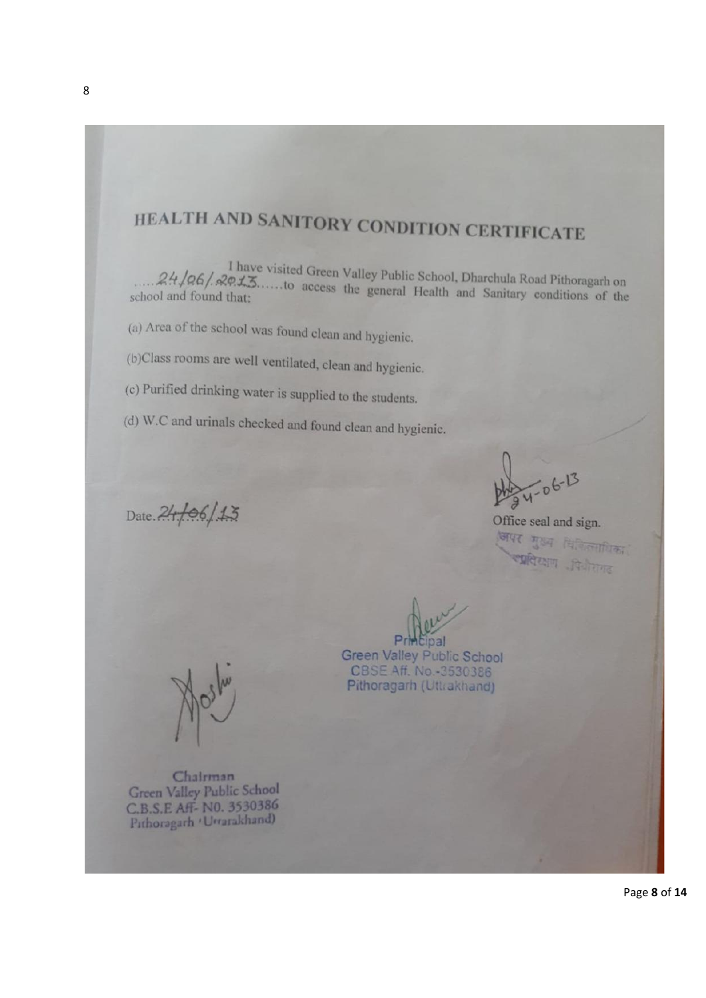# HEALTH AND SANITORY CONDITION CERTIFICATE

I have visited Green Valley Public School, Dharchula Road Pithoragarh on  $P_{\mathcal{P}} \mathcal{L} \mathcal{L}$ .....to access the general Health and Sopitanual History  $24/06$ ,  $29.1$  have visited Green Valley Public School, Dharchula Road Pithoragarh on chool and found that: school and found that:

(a) Area of the school was found clean and hygienic.

(b)Class rooms are well ventilated, clean and hygienic.

(c) Purified drinking water is supplied to the students.

(d) W.C and urinals checked and found clean and hygienic.

Date. 24/06/13

 $4-06-13$ 

Office seal and sign. अपर मुख्य विकित्साधिका स्प्रतिरक्षण विजेतगढ

Chairman Green Valley Public School C.B.S.E Aff- NO. 3530386 Pithoragarh 'Urrarakhand)

Green Valley Public School CBSE Aff. No.-3530386 Pithoragarh (Uttrakhand)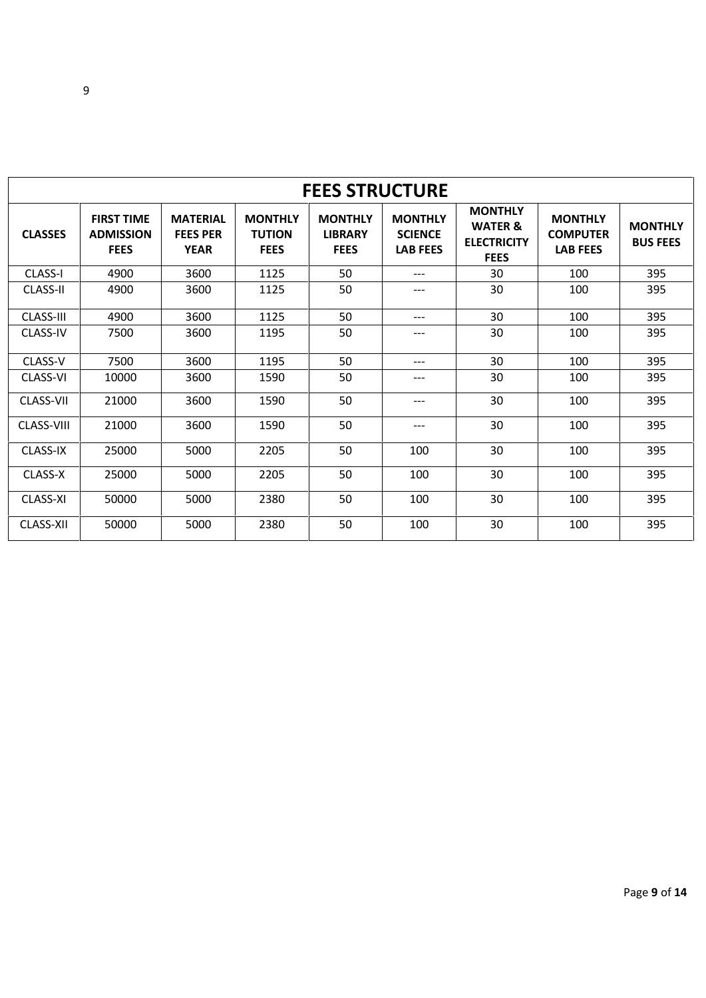|                   | <b>FEES STRUCTURE</b>                                |                                                   |                                                |                                                 |                                                     |                                                                           |                                                      |                                   |
|-------------------|------------------------------------------------------|---------------------------------------------------|------------------------------------------------|-------------------------------------------------|-----------------------------------------------------|---------------------------------------------------------------------------|------------------------------------------------------|-----------------------------------|
| <b>CLASSES</b>    | <b>FIRST TIME</b><br><b>ADMISSION</b><br><b>FEES</b> | <b>MATERIAL</b><br><b>FEES PER</b><br><b>YEAR</b> | <b>MONTHLY</b><br><b>TUTION</b><br><b>FEES</b> | <b>MONTHLY</b><br><b>LIBRARY</b><br><b>FEES</b> | <b>MONTHLY</b><br><b>SCIENCE</b><br><b>LAB FEES</b> | <b>MONTHLY</b><br><b>WATER &amp;</b><br><b>ELECTRICITY</b><br><b>FEES</b> | <b>MONTHLY</b><br><b>COMPUTER</b><br><b>LAB FEES</b> | <b>MONTHLY</b><br><b>BUS FEES</b> |
| <b>CLASS-I</b>    | 4900                                                 | 3600                                              | 1125                                           | 50                                              | $---$                                               | 30                                                                        | 100                                                  | 395                               |
| <b>CLASS-II</b>   | 4900                                                 | 3600                                              | 1125                                           | 50                                              | ---                                                 | 30                                                                        | 100                                                  | 395                               |
| CLASS-III         | 4900                                                 | 3600                                              | 1125                                           | 50                                              | ---                                                 | 30                                                                        | 100                                                  | 395                               |
| <b>CLASS-IV</b>   | 7500                                                 | 3600                                              | 1195                                           | 50                                              | ---                                                 | 30                                                                        | 100                                                  | 395                               |
| CLASS-V           | 7500                                                 | 3600                                              | 1195                                           | 50                                              | ---                                                 | 30                                                                        | 100                                                  | 395                               |
| CLASS-VI          | 10000                                                | 3600                                              | 1590                                           | 50                                              | ---                                                 | 30                                                                        | 100                                                  | 395                               |
| CLASS-VII         | 21000                                                | 3600                                              | 1590                                           | 50                                              | ---                                                 | 30                                                                        | 100                                                  | 395                               |
| <b>CLASS-VIII</b> | 21000                                                | 3600                                              | 1590                                           | 50                                              | $---$                                               | 30                                                                        | 100                                                  | 395                               |
| CLASS-IX          | 25000                                                | 5000                                              | 2205                                           | 50                                              | 100                                                 | 30                                                                        | 100                                                  | 395                               |
| CLASS-X           | 25000                                                | 5000                                              | 2205                                           | 50                                              | 100                                                 | 30                                                                        | 100                                                  | 395                               |
| CLASS-XI          | 50000                                                | 5000                                              | 2380                                           | 50                                              | 100                                                 | 30                                                                        | 100                                                  | 395                               |
| CLASS-XII         | 50000                                                | 5000                                              | 2380                                           | 50                                              | 100                                                 | 30                                                                        | 100                                                  | 395                               |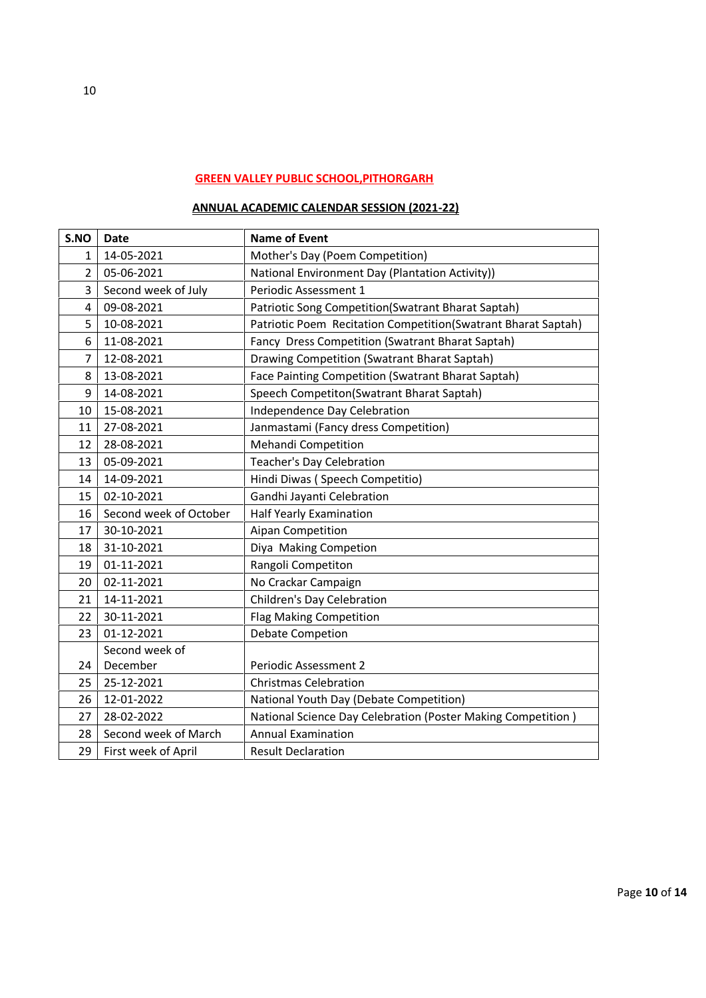# **GREEN VALLEY PUBLIC SCHOOL,PITHORGARH**

#### **ANNUAL ACADEMIC CALENDAR SESSION (2021-22)**

| S.NO | <b>Date</b>            | <b>Name of Event</b>                                           |
|------|------------------------|----------------------------------------------------------------|
| 1    | 14-05-2021             | Mother's Day (Poem Competition)                                |
| 2    | 05-06-2021             | National Environment Day (Plantation Activity))                |
| 3    | Second week of July    | Periodic Assessment 1                                          |
| 4    | 09-08-2021             | Patriotic Song Competition(Swatrant Bharat Saptah)             |
| 5    | 10-08-2021             | Patriotic Poem Recitation Competition (Swatrant Bharat Saptah) |
| 6    | 11-08-2021             | Fancy Dress Competition (Swatrant Bharat Saptah)               |
| 7    | 12-08-2021             | Drawing Competition (Swatrant Bharat Saptah)                   |
| 8    | 13-08-2021             | Face Painting Competition (Swatrant Bharat Saptah)             |
| 9    | 14-08-2021             | Speech Competiton(Swatrant Bharat Saptah)                      |
| 10   | 15-08-2021             | Independence Day Celebration                                   |
| 11   | 27-08-2021             | Janmastami (Fancy dress Competition)                           |
| 12   | 28-08-2021             | Mehandi Competition                                            |
| 13   | 05-09-2021             | <b>Teacher's Day Celebration</b>                               |
| 14   | 14-09-2021             | Hindi Diwas (Speech Competitio)                                |
| 15   | 02-10-2021             | Gandhi Jayanti Celebration                                     |
| 16   | Second week of October | <b>Half Yearly Examination</b>                                 |
| 17   | 30-10-2021             | Aipan Competition                                              |
| 18   | 31-10-2021             | Diya Making Competion                                          |
| 19   | 01-11-2021             | Rangoli Competiton                                             |
| 20   | 02-11-2021             | No Crackar Campaign                                            |
| 21   | 14-11-2021             | Children's Day Celebration                                     |
| 22   | 30-11-2021             | <b>Flag Making Competition</b>                                 |
| 23   | 01-12-2021             | <b>Debate Competion</b>                                        |
|      | Second week of         |                                                                |
| 24   | December               | Periodic Assessment 2                                          |
| 25   | 25-12-2021             | <b>Christmas Celebration</b>                                   |
| 26   | 12-01-2022             | National Youth Day (Debate Competition)                        |
| 27   | 28-02-2022             | National Science Day Celebration (Poster Making Competition)   |
| 28   | Second week of March   | <b>Annual Examination</b>                                      |
| 29   | First week of April    | <b>Result Declaration</b>                                      |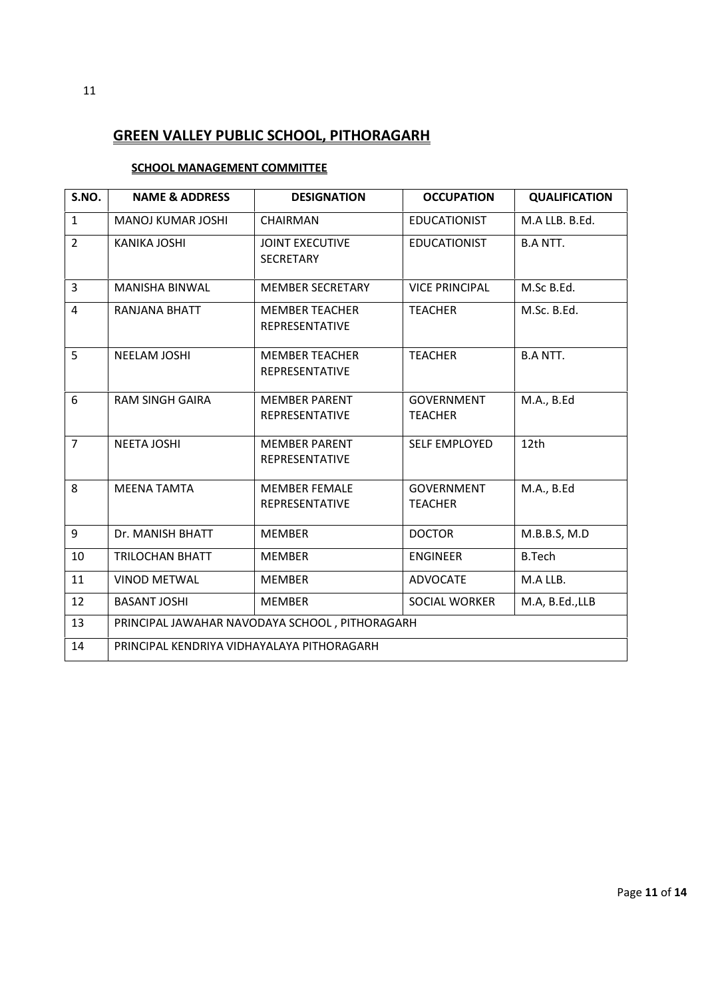# **GREEN VALLEY PUBLIC SCHOOL, PITHORAGARH**

#### **SCHOOL MANAGEMENT COMMITTEE**

| S.NO.          | <b>NAME &amp; ADDRESS</b>                  | <b>DESIGNATION</b>                             | <b>OCCUPATION</b>                   | <b>QUALIFICATION</b> |  |  |
|----------------|--------------------------------------------|------------------------------------------------|-------------------------------------|----------------------|--|--|
| $\mathbf{1}$   | <b>MANOJ KUMAR JOSHI</b>                   | CHAIRMAN                                       | <b>EDUCATIONIST</b>                 | M.A LLB. B.Ed.       |  |  |
| $\overline{2}$ | <b>KANIKA JOSHI</b>                        | <b>JOINT EXECUTIVE</b><br><b>SECRETARY</b>     | <b>EDUCATIONIST</b>                 | <b>B.A NTT.</b>      |  |  |
| $\overline{3}$ | <b>MANISHA BINWAL</b>                      | <b>MEMBER SECRETARY</b>                        | <b>VICE PRINCIPAL</b>               | M.Sc B.Ed.           |  |  |
| 4              | RANJANA BHATT                              | <b>MEMBER TEACHER</b><br>REPRESENTATIVE        | <b>TEACHER</b>                      | M.Sc. B.Ed.          |  |  |
| 5              | NEELAM JOSHI                               | <b>MEMBER TEACHER</b><br><b>REPRESENTATIVE</b> | <b>TEACHER</b>                      | <b>B.A NTT.</b>      |  |  |
| 6              | <b>RAM SINGH GAIRA</b>                     | <b>MEMBER PARENT</b><br>REPRESENTATIVE         | <b>GOVERNMENT</b><br><b>TEACHER</b> | M.A., B.Ed           |  |  |
| $\overline{7}$ | <b>NEETA JOSHI</b>                         | <b>MEMBER PARENT</b><br>REPRESENTATIVE         | <b>SELF EMPLOYED</b>                | 12th                 |  |  |
| 8              | <b>MEENA TAMTA</b>                         | <b>MEMBER FEMALE</b><br><b>REPRESENTATIVE</b>  | <b>GOVERNMENT</b><br><b>TEACHER</b> | M.A., B.Ed           |  |  |
| 9              | Dr. MANISH BHATT                           | <b>MEMBER</b>                                  | <b>DOCTOR</b>                       | M.B.B.S, M.D         |  |  |
| 10             | <b>TRILOCHAN BHATT</b>                     | <b>MEMBER</b>                                  | <b>ENGINEER</b>                     | <b>B.Tech</b>        |  |  |
| 11             | <b>VINOD METWAL</b>                        | <b>MEMBER</b>                                  | <b>ADVOCATE</b>                     | M.A LLB.             |  |  |
| 12             | <b>BASANT JOSHI</b>                        | <b>MEMBER</b>                                  | <b>SOCIAL WORKER</b>                | M.A, B.Ed.,LLB       |  |  |
| 13             |                                            | PRINCIPAL JAWAHAR NAVODAYA SCHOOL, PITHORAGARH |                                     |                      |  |  |
| 14             | PRINCIPAL KENDRIYA VIDHAYALAYA PITHORAGARH |                                                |                                     |                      |  |  |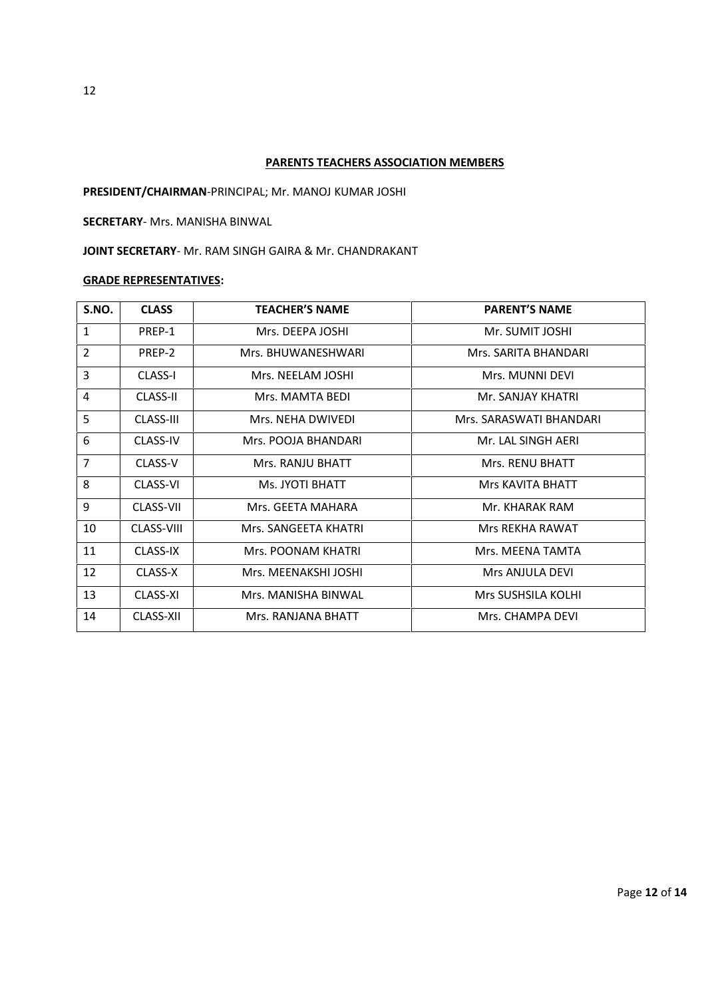#### **PARENTS TEACHERS ASSOCIATION MEMBERS**

**PRESIDENT/CHAIRMAN**-PRINCIPAL; Mr. MANOJ KUMAR JOSHI

**SECRETARY**- Mrs. MANISHA BINWAL

**JOINT SECRETARY**- Mr. RAM SINGH GAIRA & Mr. CHANDRAKANT

#### **GRADE REPRESENTATIVES:**

| S.NO.          | <b>CLASS</b>      | <b>TEACHER'S NAME</b> | <b>PARENT'S NAME</b>    |
|----------------|-------------------|-----------------------|-------------------------|
| $\mathbf{1}$   | PREP-1            | Mrs. DEEPA JOSHI      | Mr. SUMIT JOSHI         |
| $\overline{2}$ | PREP-2            | Mrs. BHUWANFSHWARI    | Mrs. SARITA BHANDARI    |
| 3              | <b>CLASS-I</b>    | Mrs. NEELAM JOSHI     | Mrs. MUNNI DEVI         |
| 4              | <b>CLASS-II</b>   | Mrs. MAMTA BEDI       | Mr. SANJAY KHATRI       |
| 5              | CLASS-III         | Mrs. NEHA DWIVEDI     | Mrs. SARASWATI BHANDARI |
| 6              | <b>CLASS-IV</b>   | Mrs. POOJA BHANDARI   | Mr. LAL SINGH AERI      |
| $\overline{7}$ | CLASS-V           | Mrs. RANJU BHATT      | <b>Mrs. RENU BHATT</b>  |
| 8              | <b>CLASS-VI</b>   | Ms. JYOTI BHATT       | <b>Mrs KAVITA BHATT</b> |
| 9              | CLASS-VII         | Mrs. GEETA MAHARA     | Mr. KHARAK RAM          |
| 10             | <b>CLASS-VIII</b> | Mrs. SANGEETA KHATRI  | Mrs REKHA RAWAT         |
| 11             | CLASS-IX          | Mrs. POONAM KHATRI    | Mrs. MEENA TAMTA        |
| 12             | CLASS-X           | Mrs. MEENAKSHI JOSHI  | Mrs ANJULA DEVI         |
| 13             | CLASS-XI          | Mrs. MANISHA BINWAL   | Mrs SUSHSILA KOLHI      |
| 14             | CLASS-XII         | Mrs. RANJANA BHATT    | Mrs. CHAMPA DEVI        |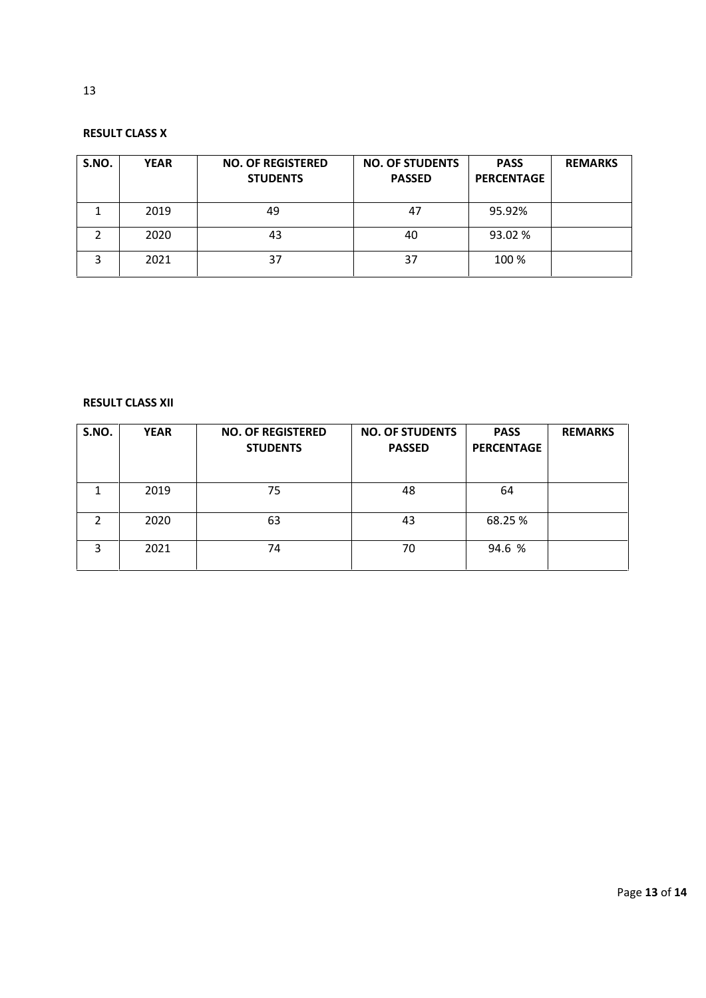#### **RESULT CLASS X**

| S.NO. | <b>YEAR</b> | <b>NO. OF REGISTERED</b><br><b>STUDENTS</b> | <b>NO. OF STUDENTS</b><br><b>PASSED</b> | <b>PASS</b><br><b>PERCENTAGE</b> | <b>REMARKS</b> |
|-------|-------------|---------------------------------------------|-----------------------------------------|----------------------------------|----------------|
|       | 2019        | 49                                          | 47                                      | 95.92%                           |                |
|       | 2020        | 43                                          | 40                                      | 93.02 %                          |                |
|       | 2021        | 37                                          | 37                                      | 100 %                            |                |

#### **RESULT CLASS XII**

| S.NO. | <b>YEAR</b> | <b>NO. OF REGISTERED</b><br><b>STUDENTS</b> | <b>NO. OF STUDENTS</b><br><b>PASSED</b> | <b>PASS</b><br><b>PERCENTAGE</b> | <b>REMARKS</b> |
|-------|-------------|---------------------------------------------|-----------------------------------------|----------------------------------|----------------|
|       | 2019        | 75                                          | 48                                      | 64                               |                |
| C     | 2020        | 63                                          | 43                                      | 68.25 %                          |                |
| 3     | 2021        | 74                                          | 70                                      | 94.6 %                           |                |